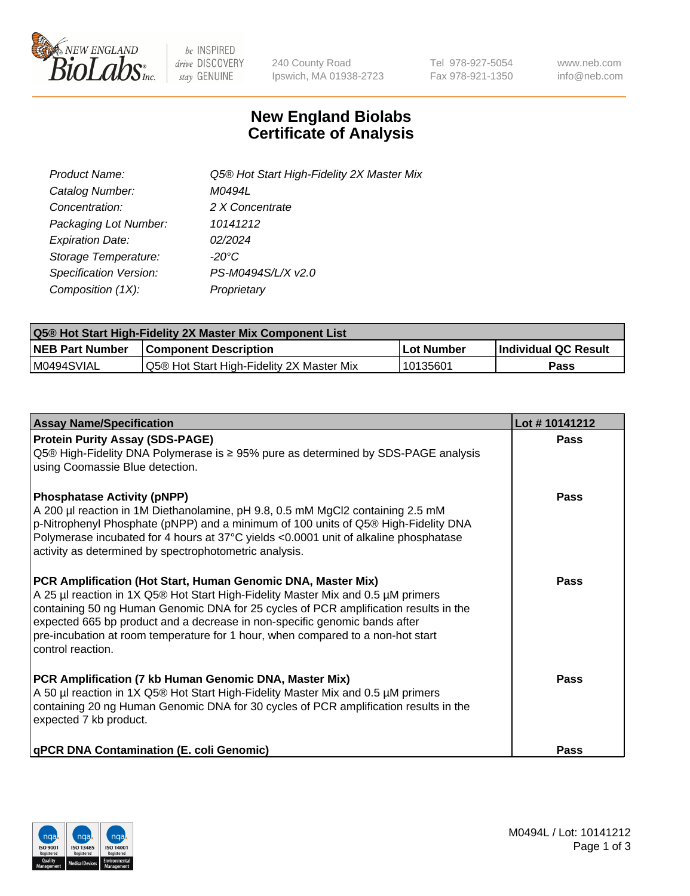

 $be$  INSPIRED drive DISCOVERY stay GENUINE

240 County Road Ipswich, MA 01938-2723 Tel 978-927-5054 Fax 978-921-1350 www.neb.com info@neb.com

## **New England Biolabs Certificate of Analysis**

| Product Name:           | Q5® Hot Start High-Fidelity 2X Master Mix |
|-------------------------|-------------------------------------------|
| Catalog Number:         | M0494L                                    |
| Concentration:          | 2 X Concentrate                           |
| Packaging Lot Number:   | 10141212                                  |
| <b>Expiration Date:</b> | 02/2024                                   |
| Storage Temperature:    | $-20^{\circ}$ C                           |
| Specification Version:  | PS-M0494S/L/X v2.0                        |
| Composition (1X):       | Proprietary                               |

| <b>Q5® Hot Start High-Fidelity 2X Master Mix Component List</b> |                                           |            |                      |  |  |
|-----------------------------------------------------------------|-------------------------------------------|------------|----------------------|--|--|
| <b>NEB Part Number</b>                                          | <b>Component Description</b>              | Lot Number | Individual QC Result |  |  |
| M0494SVIAL                                                      | Q5® Hot Start High-Fidelity 2X Master Mix | ' 10135601 | Pass                 |  |  |

| <b>Assay Name/Specification</b>                                                                                                                                                                                                                                                                                                                                                                                                | Lot #10141212 |
|--------------------------------------------------------------------------------------------------------------------------------------------------------------------------------------------------------------------------------------------------------------------------------------------------------------------------------------------------------------------------------------------------------------------------------|---------------|
| <b>Protein Purity Assay (SDS-PAGE)</b><br>Q5® High-Fidelity DNA Polymerase is ≥ 95% pure as determined by SDS-PAGE analysis<br>using Coomassie Blue detection.                                                                                                                                                                                                                                                                 | Pass          |
| <b>Phosphatase Activity (pNPP)</b><br>A 200 µl reaction in 1M Diethanolamine, pH 9.8, 0.5 mM MgCl2 containing 2.5 mM<br>p-Nitrophenyl Phosphate (pNPP) and a minimum of 100 units of Q5® High-Fidelity DNA<br>Polymerase incubated for 4 hours at 37°C yields <0.0001 unit of alkaline phosphatase<br>activity as determined by spectrophotometric analysis.                                                                   | Pass          |
| PCR Amplification (Hot Start, Human Genomic DNA, Master Mix)<br>A 25 µl reaction in 1X Q5® Hot Start High-Fidelity Master Mix and 0.5 µM primers<br>containing 50 ng Human Genomic DNA for 25 cycles of PCR amplification results in the<br>expected 665 bp product and a decrease in non-specific genomic bands after<br>pre-incubation at room temperature for 1 hour, when compared to a non-hot start<br>control reaction. | <b>Pass</b>   |
| PCR Amplification (7 kb Human Genomic DNA, Master Mix)<br>A 50 µl reaction in 1X Q5® Hot Start High-Fidelity Master Mix and 0.5 µM primers<br>containing 20 ng Human Genomic DNA for 30 cycles of PCR amplification results in the<br>expected 7 kb product.                                                                                                                                                                   | Pass          |
| qPCR DNA Contamination (E. coli Genomic)                                                                                                                                                                                                                                                                                                                                                                                       | Pass          |

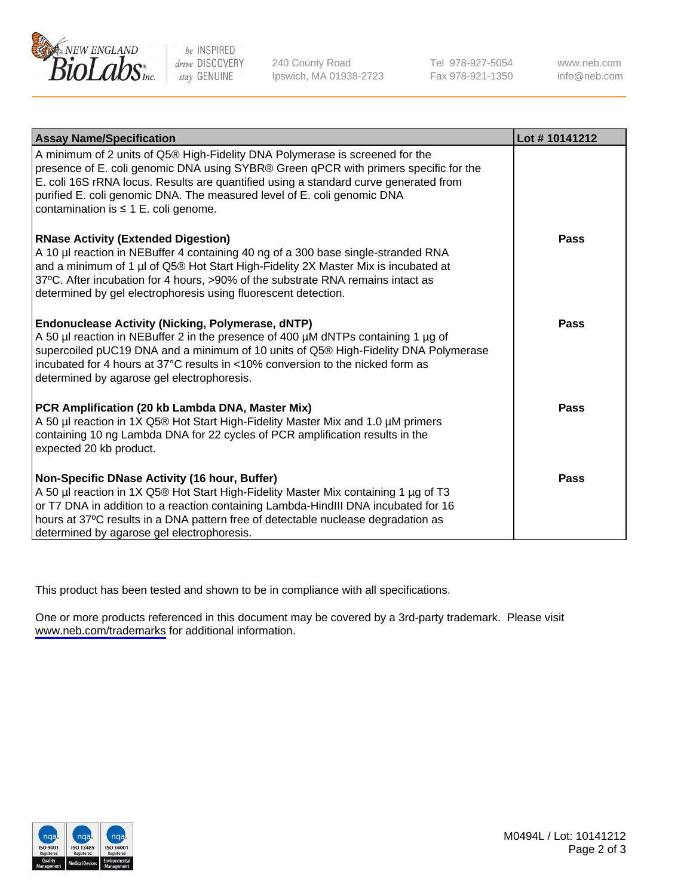

be INSPIRED drive DISCOVERY stay GENUINE

240 County Road Ipswich, MA 01938-2723 Tel 978-927-5054 Fax 978-921-1350

www.neb.com info@neb.com

| <b>Assay Name/Specification</b>                                                                                                                                                                                                                                                                                                                                                      | Lot #10141212 |
|--------------------------------------------------------------------------------------------------------------------------------------------------------------------------------------------------------------------------------------------------------------------------------------------------------------------------------------------------------------------------------------|---------------|
| A minimum of 2 units of Q5® High-Fidelity DNA Polymerase is screened for the<br>presence of E. coli genomic DNA using SYBR® Green qPCR with primers specific for the<br>E. coli 16S rRNA locus. Results are quantified using a standard curve generated from<br>purified E. coli genomic DNA. The measured level of E. coli genomic DNA<br>contamination is $\leq 1$ E. coli genome. |               |
| <b>RNase Activity (Extended Digestion)</b><br>A 10 µl reaction in NEBuffer 4 containing 40 ng of a 300 base single-stranded RNA<br>and a minimum of 1 µl of Q5® Hot Start High-Fidelity 2X Master Mix is incubated at<br>37°C. After incubation for 4 hours, >90% of the substrate RNA remains intact as<br>determined by gel electrophoresis using fluorescent detection.           | <b>Pass</b>   |
| <b>Endonuclease Activity (Nicking, Polymerase, dNTP)</b><br>A 50 µl reaction in NEBuffer 2 in the presence of 400 µM dNTPs containing 1 µg of<br>supercoiled pUC19 DNA and a minimum of 10 units of Q5® High-Fidelity DNA Polymerase<br>incubated for 4 hours at 37°C results in <10% conversion to the nicked form as<br>determined by agarose gel electrophoresis.                 | Pass          |
| PCR Amplification (20 kb Lambda DNA, Master Mix)<br>A 50 µl reaction in 1X Q5® Hot Start High-Fidelity Master Mix and 1.0 µM primers<br>containing 10 ng Lambda DNA for 22 cycles of PCR amplification results in the<br>expected 20 kb product.                                                                                                                                     | <b>Pass</b>   |
| Non-Specific DNase Activity (16 hour, Buffer)<br>A 50 µl reaction in 1X Q5® Hot Start High-Fidelity Master Mix containing 1 µg of T3<br>or T7 DNA in addition to a reaction containing Lambda-HindIII DNA incubated for 16<br>hours at 37°C results in a DNA pattern free of detectable nuclease degradation as<br>determined by agarose gel electrophoresis.                        | Pass          |

This product has been tested and shown to be in compliance with all specifications.

One or more products referenced in this document may be covered by a 3rd-party trademark. Please visit <www.neb.com/trademarks>for additional information.